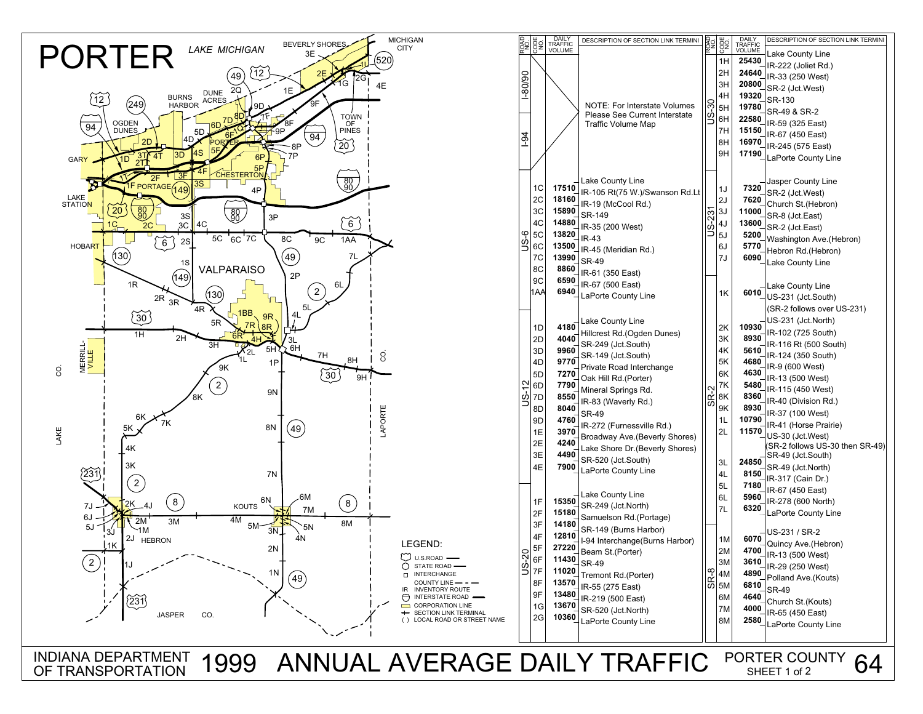